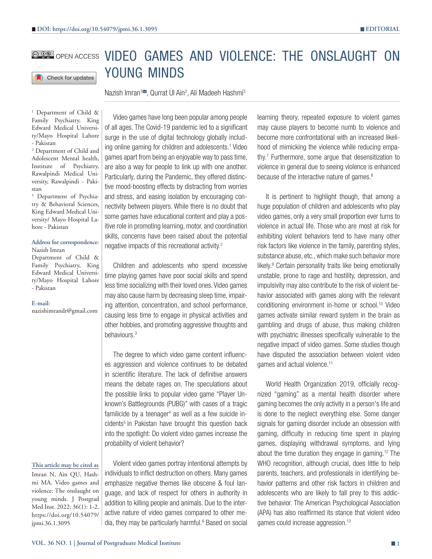

# **COO OPEN ACCESS VIDEO GAMES AND VIOLENCE: THE ONSLAUGHT ON** YOUNG MINDS

Nazish Imran<sup>1⊠</sup>, Qurrat UI Ain<sup>2</sup>, Ali Madeeh Hashmi<sup>3</sup>

<sup>1</sup> Department of Child & Family Psychiatry, King Edward Medical University/Mayo Hospital Lahore - Pakistan

2 Department of Child and Adolescent Mental health, Institute of Psychiatry, Rawalpindi Medical University, Rawalpindi - Pakistan

3 Department of Psychiatry & Behavioral Sciences, King Edward Medical University/ Mayo Hospital Lahore - Pakistan

#### **Address for correspondence:** Nazish Imran

Department of Child & Family Psychiatry, King Edward Medical University/Mayo Hospital Lahore - Pakistan

**E-mail:**

nazishimrandr@gmail.com

# Video games have long been popular among people of all ages. The Covid-19 pandemic led to a significant surge in the use of digital technology globally including online gaming for children and adolescents.<sup>1</sup> Video games apart from being an enjoyable way to pass time, are also a way for people to link up with one another. Particularly, during the Pandemic, they offered distinctive mood-boosting effects by distracting from worries and stress, and easing isolation by encouraging connectivity between players. While there is no doubt that some games have educational content and play a positive role in promoting learning, motor, and coordination skills, concerns have been raised about the potential negative impacts of this recreational activity.2

Children and adolescents who spend excessive time playing games have poor social skills and spend less time socializing with their loved ones. Video games may also cause harm by decreasing sleep time, impairing attention, concentration, and school performance, causing less time to engage in physical activities and other hobbies, and promoting aggressive thoughts and behaviours.3

The degree to which video game content influences aggression and violence continues to be debated in scientific literature. The lack of definitive answers means the debate rages on. The speculations about the possible links to popular video game "Player Unknown's Battlegrounds (PUBG)" with cases of a tragic familicide by a teenager<sup>4</sup> as well as a few suicide incidents<sup>5</sup> in Pakistan have brought this question back into the spotlight: Do violent video games increase the probability of violent behavior?

### **This article may be cited as**

Imran N, Ain QU, Hashmi MA. Video games and violence: The onslaught on young minds. J Postgrad Med Inst. 2022; 36(1): 1-2. https://doi.org/10.54079/ jpmi.36.1.3095

Violent video games portray intentional attempts by individuals to inflict destruction on others. Many games emphasize negative themes like obscene & foul language, and lack of respect for others in authority in addition to killing people and animals. Due to the interactive nature of video games compared to other media, they may be particularly harmful.<sup>6</sup> Based on social learning theory, repeated exposure to violent games may cause players to become numb to violence and become more confrontational with an increased likelihood of mimicking the violence while reducing empathy.7 Furthermore, some argue that desensitization to violence in general due to seeing violence is enhanced because of the interactive nature of games.<sup>8</sup>

It is pertinent to highlight though, that among a huge population of children and adolescents who play video games, only a very small proportion ever turns to violence in actual life. Those who are most at risk for exhibiting violent behaviors tend to have many other risk factors like violence in the family, parenting styles, substance abuse, etc., which make such behavior more likely.<sup>9</sup> Certain personality traits like being emotionally unstable, prone to rage and hostility, depression, and impulsivity may also contribute to the risk of violent behavior associated with games along with the relevant conditioning environment in-home or school.10 Video games activate similar reward system in the brain as gambling and drugs of abuse, thus making children with psychiatric illnesses specifically vulnerable to the negative impact of video games. Some studies though have disputed the association between violent video games and actual violence.<sup>11</sup>

World Health Organization 2019, officially recognized "gaming" as a mental health disorder where gaming becomes the only activity in a person's life and is done to the neglect everything else. Some danger signals for gaming disorder include an obsession with gaming, difficulty in reducing time spent in playing games, displaying withdrawal symptoms, and lying about the time duration they engage in gaming.<sup>12</sup> The WHO recognition, although crucial, does little to help parents, teachers, and professionals in identifying behavior patterns and other risk factors in children and adolescents who are likely to fall prey to this addictive behavior. The American Psychological Association (APA) has also reaffirmed its stance that violent video games could increase aggression.13